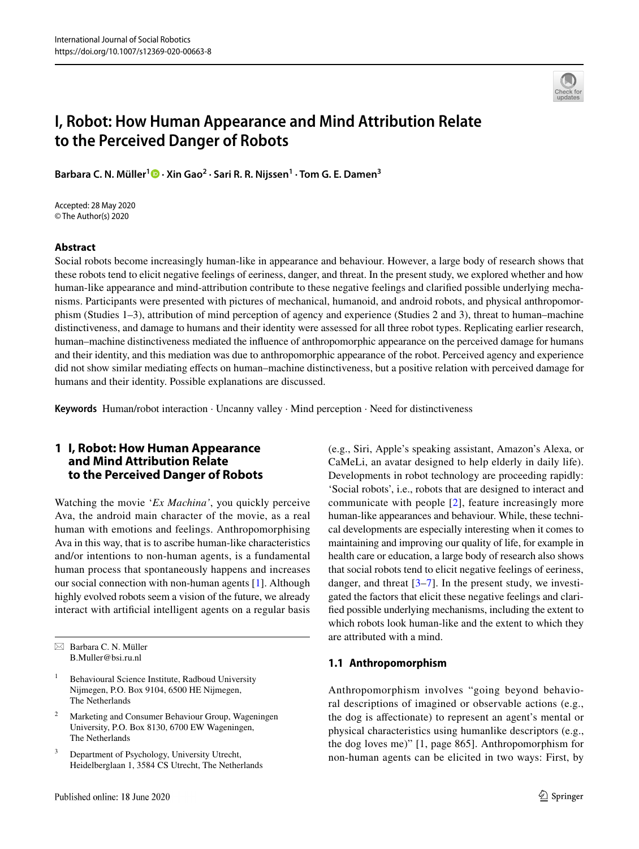

# **I, Robot: How Human Appearance and Mind Attribution Relate to the Perceived Danger of Robots**

**Barbara C. N. Müller[1](http://orcid.org/0000-0003-1812-8531) · Xin Gao<sup>2</sup> · Sari R. R. Nijssen1 · Tom G. E. Damen3**

Accepted: 28 May 2020 © The Author(s) 2020

#### **Abstract**

Social robots become increasingly human-like in appearance and behaviour. However, a large body of research shows that these robots tend to elicit negative feelings of eeriness, danger, and threat. In the present study, we explored whether and how human-like appearance and mind-attribution contribute to these negative feelings and clarifed possible underlying mechanisms. Participants were presented with pictures of mechanical, humanoid, and android robots, and physical anthropomorphism (Studies 1–3), attribution of mind perception of agency and experience (Studies 2 and 3), threat to human–machine distinctiveness, and damage to humans and their identity were assessed for all three robot types. Replicating earlier research, human–machine distinctiveness mediated the infuence of anthropomorphic appearance on the perceived damage for humans and their identity, and this mediation was due to anthropomorphic appearance of the robot. Perceived agency and experience did not show similar mediating efects on human–machine distinctiveness, but a positive relation with perceived damage for humans and their identity. Possible explanations are discussed.

**Keywords** Human/robot interaction · Uncanny valley · Mind perception · Need for distinctiveness

# **1 I, Robot: How Human Appearance and Mind Attribution Relate to the Perceived Danger of Robots**

Watching the movie '*Ex Machina'*, you quickly perceive Ava, the android main character of the movie, as a real human with emotions and feelings. Anthropomorphising Ava in this way, that is to ascribe human-like characteristics and/or intentions to non-human agents, is a fundamental human process that spontaneously happens and increases our social connection with non-human agents [\[1](#page-9-0)]. Although highly evolved robots seem a vision of the future, we already interact with artifcial intelligent agents on a regular basis

- <sup>1</sup> Behavioural Science Institute, Radboud University Nijmegen, P.O. Box 9104, 6500 HE Nijmegen, The Netherlands
- <sup>2</sup> Marketing and Consumer Behaviour Group, Wageningen University, P.O. Box 8130, 6700 EW Wageningen, The Netherlands
- <sup>3</sup> Department of Psychology, University Utrecht, Heidelberglaan 1, 3584 CS Utrecht, The Netherlands

(e.g., Siri, Apple's speaking assistant, Amazon's Alexa, or CaMeLi, an avatar designed to help elderly in daily life). Developments in robot technology are proceeding rapidly: 'Social robots', i.e., robots that are designed to interact and communicate with people [[2](#page-9-1)], feature increasingly more human-like appearances and behaviour. While, these technical developments are especially interesting when it comes to maintaining and improving our quality of life, for example in health care or education, a large body of research also shows that social robots tend to elicit negative feelings of eeriness, danger, and threat  $[3-7]$  $[3-7]$  $[3-7]$ . In the present study, we investigated the factors that elicit these negative feelings and clarifed possible underlying mechanisms, including the extent to which robots look human-like and the extent to which they are attributed with a mind.

### **1.1 Anthropomorphism**

Anthropomorphism involves "going beyond behavioral descriptions of imagined or observable actions (e.g., the dog is afectionate) to represent an agent's mental or physical characteristics using humanlike descriptors (e.g., the dog loves me)" [1, page 865]. Anthropomorphism for non-human agents can be elicited in two ways: First, by

 $\boxtimes$  Barbara C. N. Müller B.Muller@bsi.ru.nl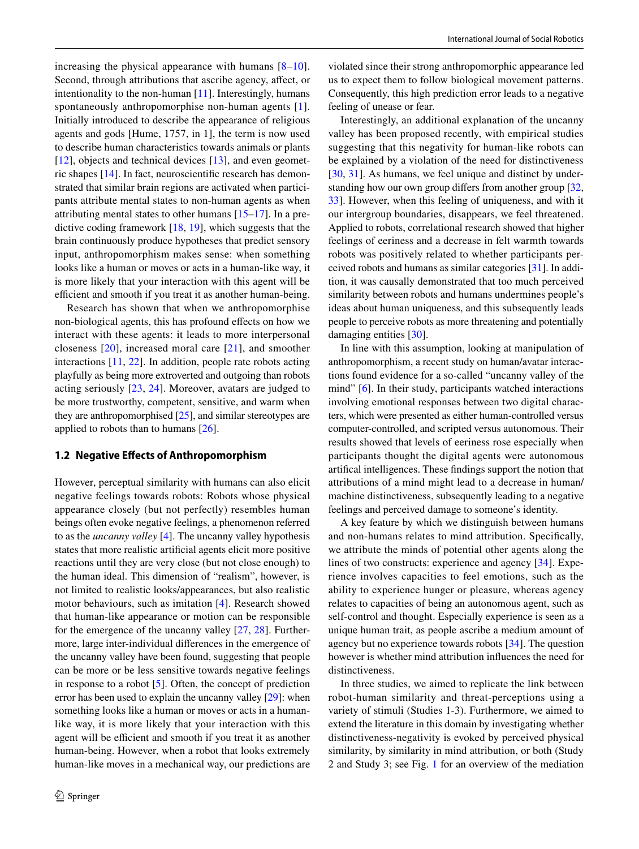increasing the physical appearance with humans  $[8-10]$  $[8-10]$  $[8-10]$ . Second, through attributions that ascribe agency, affect, or intentionality to the non-human [\[11](#page-10-2)]. Interestingly, humans spontaneously anthropomorphise non-human agents [[1](#page-9-0)]. Initially introduced to describe the appearance of religious agents and gods [Hume, 1757, in 1], the term is now used to describe human characteristics towards animals or plants [\[12\]](#page-10-3), objects and technical devices [\[13](#page-10-4)], and even geometric shapes [[14\]](#page-10-5). In fact, neuroscientifc research has demonstrated that similar brain regions are activated when participants attribute mental states to non-human agents as when attributing mental states to other humans [[15–](#page-10-6)[17\]](#page-10-7). In a predictive coding framework [[18](#page-10-8), [19](#page-10-9)], which suggests that the brain continuously produce hypotheses that predict sensory input, anthropomorphism makes sense: when something looks like a human or moves or acts in a human-like way, it is more likely that your interaction with this agent will be efficient and smooth if you treat it as another human-being.

Research has shown that when we anthropomorphise non-biological agents, this has profound efects on how we interact with these agents: it leads to more interpersonal closeness [\[20\]](#page-10-10), increased moral care [[21\]](#page-10-11), and smoother interactions [[11,](#page-10-2) [22](#page-10-12)]. In addition, people rate robots acting playfully as being more extroverted and outgoing than robots acting seriously [[23](#page-10-13), [24\]](#page-10-14). Moreover, avatars are judged to be more trustworthy, competent, sensitive, and warm when they are anthropomorphised [[25\]](#page-10-15), and similar stereotypes are applied to robots than to humans [[26\]](#page-10-16).

#### **1.2 Negative Efects of Anthropomorphism**

However, perceptual similarity with humans can also elicit negative feelings towards robots: Robots whose physical appearance closely (but not perfectly) resembles human beings often evoke negative feelings, a phenomenon referred to as the *uncanny valley* [\[4](#page-9-4)]. The uncanny valley hypothesis states that more realistic artifcial agents elicit more positive reactions until they are very close (but not close enough) to the human ideal. This dimension of "realism", however, is not limited to realistic looks/appearances, but also realistic motor behaviours, such as imitation [\[4\]](#page-9-4). Research showed that human-like appearance or motion can be responsible for the emergence of the uncanny valley [\[27,](#page-10-17) [28](#page-10-18)]. Furthermore, large inter-individual diferences in the emergence of the uncanny valley have been found, suggesting that people can be more or be less sensitive towards negative feelings in response to a robot [\[5](#page-9-5)]. Often, the concept of prediction error has been used to explain the uncanny valley [\[29](#page-10-19)]: when something looks like a human or moves or acts in a humanlike way, it is more likely that your interaction with this agent will be efficient and smooth if you treat it as another human-being. However, when a robot that looks extremely human-like moves in a mechanical way, our predictions are violated since their strong anthropomorphic appearance led us to expect them to follow biological movement patterns. Consequently, this high prediction error leads to a negative feeling of unease or fear.

Interestingly, an additional explanation of the uncanny valley has been proposed recently, with empirical studies suggesting that this negativity for human-like robots can be explained by a violation of the need for distinctiveness [[30,](#page-10-20) [31\]](#page-10-21). As humans, we feel unique and distinct by understanding how our own group difers from another group [[32,](#page-10-22) [33](#page-10-23)]. However, when this feeling of uniqueness, and with it our intergroup boundaries, disappears, we feel threatened. Applied to robots, correlational research showed that higher feelings of eeriness and a decrease in felt warmth towards robots was positively related to whether participants perceived robots and humans as similar categories [[31\]](#page-10-21). In addition, it was causally demonstrated that too much perceived similarity between robots and humans undermines people's ideas about human uniqueness, and this subsequently leads people to perceive robots as more threatening and potentially damaging entities [[30\]](#page-10-20).

In line with this assumption, looking at manipulation of anthropomorphism, a recent study on human/avatar interactions found evidence for a so-called "uncanny valley of the mind" [[6\]](#page-9-6). In their study, participants watched interactions involving emotional responses between two digital characters, which were presented as either human-controlled versus computer-controlled, and scripted versus autonomous. Their results showed that levels of eeriness rose especially when participants thought the digital agents were autonomous artifcal intelligences. These fndings support the notion that attributions of a mind might lead to a decrease in human/ machine distinctiveness, subsequently leading to a negative feelings and perceived damage to someone's identity.

A key feature by which we distinguish between humans and non-humans relates to mind attribution. Specifcally, we attribute the minds of potential other agents along the lines of two constructs: experience and agency [\[34\]](#page-10-24). Experience involves capacities to feel emotions, such as the ability to experience hunger or pleasure, whereas agency relates to capacities of being an autonomous agent, such as self-control and thought. Especially experience is seen as a unique human trait, as people ascribe a medium amount of agency but no experience towards robots [\[34](#page-10-24)]. The question however is whether mind attribution infuences the need for distinctiveness.

In three studies, we aimed to replicate the link between robot-human similarity and threat-perceptions using a variety of stimuli (Studies 1-3). Furthermore, we aimed to extend the literature in this domain by investigating whether distinctiveness-negativity is evoked by perceived physical similarity, by similarity in mind attribution, or both (Study 2 and Study 3; see Fig. [1](#page-2-0) for an overview of the mediation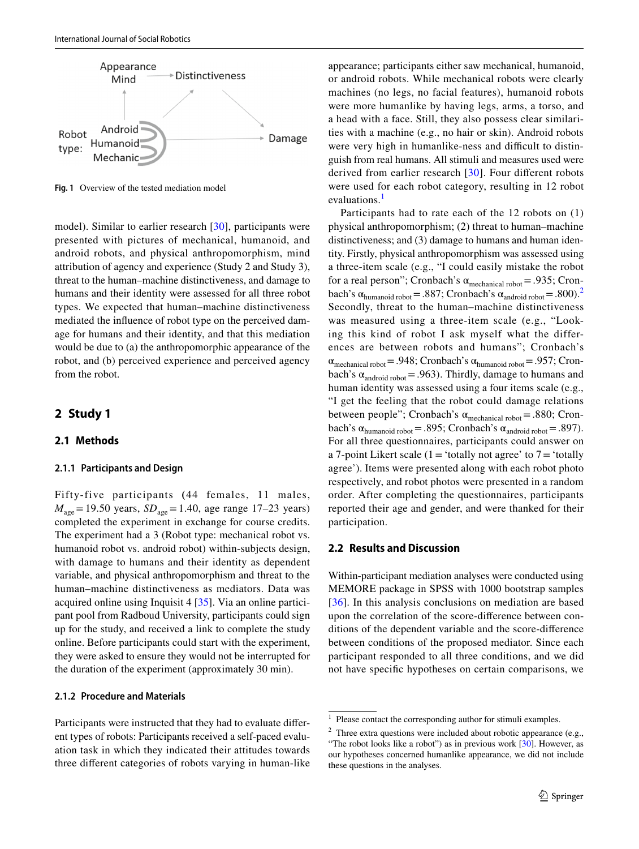

<span id="page-2-0"></span>**Fig. 1** Overview of the tested mediation model

model). Similar to earlier research [\[30](#page-10-20)], participants were presented with pictures of mechanical, humanoid, and android robots, and physical anthropomorphism, mind attribution of agency and experience (Study 2 and Study 3), threat to the human–machine distinctiveness, and damage to humans and their identity were assessed for all three robot types. We expected that human–machine distinctiveness mediated the infuence of robot type on the perceived damage for humans and their identity, and that this mediation would be due to (a) the anthropomorphic appearance of the robot, and (b) perceived experience and perceived agency from the robot.

### **2 Study 1**

#### **2.1 Methods**

#### **2.1.1 Participants and Design**

Fifty-five participants **(**44 females, 11 males,  $M_{\text{age}} = 19.50 \text{ years}, SD_{\text{age}} = 1.40, \text{ age range } 17{\text -}23 \text{ years})$ completed the experiment in exchange for course credits. The experiment had a 3 (Robot type: mechanical robot vs. humanoid robot vs. android robot) within-subjects design, with damage to humans and their identity as dependent variable, and physical anthropomorphism and threat to the human–machine distinctiveness as mediators. Data was acquired online using Inquisit 4 [[35\]](#page-10-25). Via an online participant pool from Radboud University, participants could sign up for the study, and received a link to complete the study online. Before participants could start with the experiment, they were asked to ensure they would not be interrupted for the duration of the experiment (approximately 30 min).

#### **2.1.2 Procedure and Materials**

Participants were instructed that they had to evaluate diferent types of robots: Participants received a self-paced evaluation task in which they indicated their attitudes towards three diferent categories of robots varying in human-like

appearance; participants either saw mechanical, humanoid, or android robots. While mechanical robots were clearly machines (no legs, no facial features), humanoid robots were more humanlike by having legs, arms, a torso, and a head with a face. Still, they also possess clear similarities with a machine (e.g., no hair or skin). Android robots were very high in humanlike-ness and difficult to distinguish from real humans. All stimuli and measures used were derived from earlier research [\[30\]](#page-10-20). Four diferent robots were used for each robot category, resulting in 12 robot evaluations.<sup>[1](#page-2-1)</sup>

Participants had to rate each of the 12 robots on (1) physical anthropomorphism; (2) threat to human–machine distinctiveness; and (3) damage to humans and human identity. Firstly, physical anthropomorphism was assessed using a three-item scale (e.g., "I could easily mistake the robot for a real person"; Cronbach's  $\alpha_{\text{mechanical robot}} = .935$ ; Cronbach's  $\alpha_{\text{humanoid robot}} = .887$ ; Cronbach's  $\alpha_{\text{android robot}} = .800$ .<sup>[2](#page-2-2)</sup> Secondly, threat to the human–machine distinctiveness was measured using a three-item scale (e.g., "Looking this kind of robot I ask myself what the differences are between robots and humans"; Cronbach's  $\alpha_{\text{mechanical robot}}$  = .948; Cronbach's  $\alpha_{\text{humanoid robot}}$  = .957; Cronbach's  $\alpha_{\text{android robot}}$  = .963). Thirdly, damage to humans and human identity was assessed using a four items scale (e.g., "I get the feeling that the robot could damage relations between people"; Cronbach's  $\alpha_{\text{mechanical robot}} = .880$ ; Cronbach's  $\alpha_{\text{humanoid robot}} = .895$ ; Cronbach's  $\alpha_{\text{android robot}} = .897$ ). For all three questionnaires, participants could answer on a 7-point Likert scale (1 = 'totally not agree' to  $7 =$  'totally agree'). Items were presented along with each robot photo respectively, and robot photos were presented in a random order. After completing the questionnaires, participants reported their age and gender, and were thanked for their participation.

#### **2.2 Results and Discussion**

Within-participant mediation analyses were conducted using MEMORE package in SPSS with 1000 bootstrap samples [[36\]](#page-10-26). In this analysis conclusions on mediation are based upon the correlation of the score-diference between conditions of the dependent variable and the score-diference between conditions of the proposed mediator. Since each participant responded to all three conditions, and we did not have specifc hypotheses on certain comparisons, we

<span id="page-2-1"></span><sup>&</sup>lt;sup>1</sup> Please contact the corresponding author for stimuli examples.

<span id="page-2-2"></span><sup>&</sup>lt;sup>2</sup> Three extra questions were included about robotic appearance (e.g., "The robot looks like a robot") as in previous work [[30](#page-10-20)]. However, as our hypotheses concerned humanlike appearance, we did not include these questions in the analyses.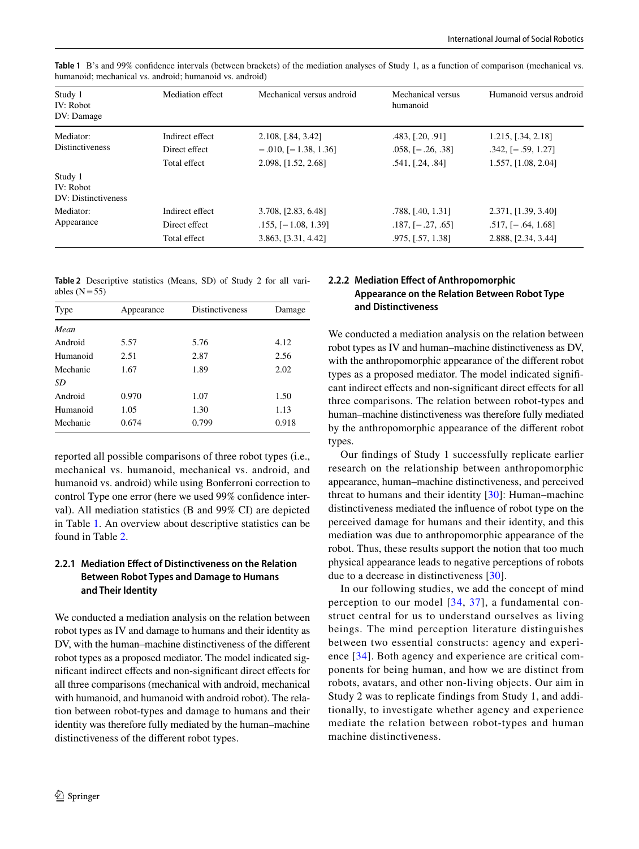| Study 1<br>IV: Robot<br>DV: Damage          | Mediation effect | Mechanical versus android  | Mechanical versus<br>humanoid | Humanoid versus android |
|---------------------------------------------|------------------|----------------------------|-------------------------------|-------------------------|
| Mediator:                                   | Indirect effect  | 2.108, [.84, 3.42]         | .483, [.20, .91]              | 1.215, [.34, 2.18]      |
| <b>Distinctiveness</b>                      | Direct effect    | $-.010,$ [ $-1.38, 1.36$ ] | $.058,$ $[-.26, .38]$         | $.342,$ $[-.59, 1.27]$  |
|                                             | Total effect     | 2.098, [1.52, 2.68]        | .541, [.24, .84]              | 1.557, [1.08, 2.04]     |
| Study 1<br>IV: Robot<br>DV: Distinctiveness |                  |                            |                               |                         |
| Mediator:                                   | Indirect effect  | 3.708, [2.83, 6.48]        | .788, [.40, 1.31]             | 2.371, [1.39, 3.40]     |
| Appearance                                  | Direct effect    | $.155,$ $[-1.08, 1.39]$    | $.187, [-.27, .65]$           | $.517,$ $[-.64, 1.68]$  |
|                                             | Total effect     | 3.863, [3.31, 4.42]        | .975, [.57, 1.38]             | 2.888, [2.34, 3.44]     |

<span id="page-3-0"></span>**Table 1** B's and 99% confdence intervals (between brackets) of the mediation analyses of Study 1, as a function of comparison (mechanical vs. humanoid; mechanical vs. android; humanoid vs. android)

<span id="page-3-1"></span>**Table 2** Descriptive statistics (Means, SD) of Study 2 for all variables  $(N=55)$ 

| Type<br>Appearance |       | Distinctiveness | Damage |  |
|--------------------|-------|-----------------|--------|--|
| Mean               |       |                 |        |  |
| Android            | 5.57  | 5.76            | 4.12   |  |
| Humanoid           | 2.51  | 2.87            | 2.56   |  |
| Mechanic           | 1.67  | 1.89            | 2.02   |  |
| SD                 |       |                 |        |  |
| Android            | 0.970 | 1.07            | 1.50   |  |
| Humanoid           | 1.05  | 1.30            | 1.13   |  |
| Mechanic           | 0.674 | 0.799           | 0.918  |  |
|                    |       |                 |        |  |

reported all possible comparisons of three robot types (i.e., mechanical vs. humanoid, mechanical vs. android, and humanoid vs. android) while using Bonferroni correction to control Type one error (here we used 99% confdence interval). All mediation statistics (B and 99% CI) are depicted in Table [1](#page-3-0). An overview about descriptive statistics can be found in Table [2](#page-3-1).

### **2.2.1 Mediation Efect of Distinctiveness on the Relation Between Robot Types and Damage to Humans and Their Identity**

We conducted a mediation analysis on the relation between robot types as IV and damage to humans and their identity as DV, with the human–machine distinctiveness of the diferent robot types as a proposed mediator. The model indicated signifcant indirect efects and non-signifcant direct efects for all three comparisons (mechanical with android, mechanical with humanoid, and humanoid with android robot). The relation between robot-types and damage to humans and their identity was therefore fully mediated by the human–machine distinctiveness of the diferent robot types.

### **2.2.2 Mediation Efect of Anthropomorphic Appearance on the Relation Between Robot Type and Distinctiveness**

We conducted a mediation analysis on the relation between robot types as IV and human–machine distinctiveness as DV, with the anthropomorphic appearance of the diferent robot types as a proposed mediator. The model indicated signifcant indirect efects and non-signifcant direct efects for all three comparisons. The relation between robot-types and human–machine distinctiveness was therefore fully mediated by the anthropomorphic appearance of the diferent robot types.

Our fndings of Study 1 successfully replicate earlier research on the relationship between anthropomorphic appearance, human–machine distinctiveness, and perceived threat to humans and their identity [[30](#page-10-20)]: Human–machine distinctiveness mediated the infuence of robot type on the perceived damage for humans and their identity, and this mediation was due to anthropomorphic appearance of the robot. Thus, these results support the notion that too much physical appearance leads to negative perceptions of robots due to a decrease in distinctiveness [\[30\]](#page-10-20).

In our following studies, we add the concept of mind perception to our model [\[34](#page-10-24), [37\]](#page-10-27), a fundamental construct central for us to understand ourselves as living beings. The mind perception literature distinguishes between two essential constructs: agency and experience [[34](#page-10-24)]. Both agency and experience are critical components for being human, and how we are distinct from robots, avatars, and other non-living objects. Our aim in Study 2 was to replicate findings from Study 1, and additionally, to investigate whether agency and experience mediate the relation between robot-types and human machine distinctiveness.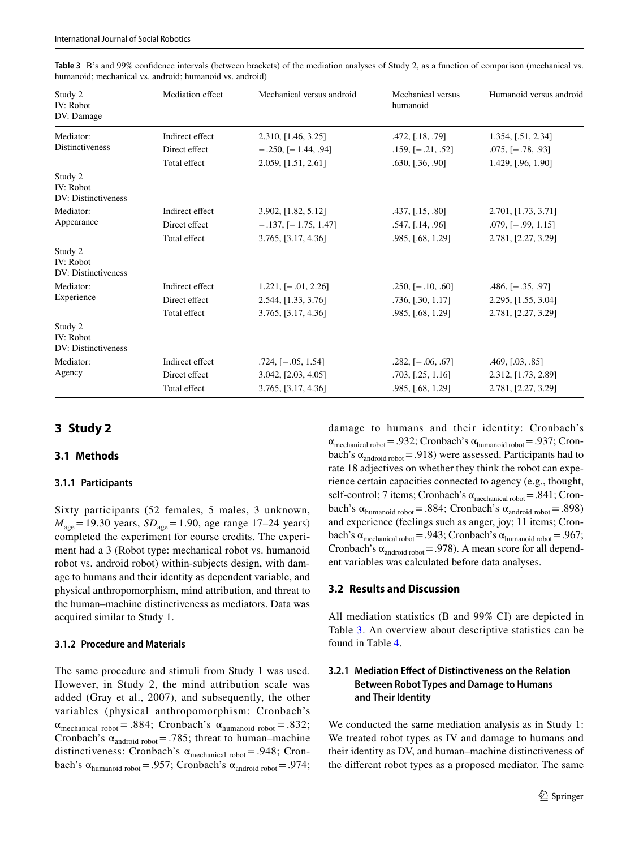| Study 2<br>IV: Robot<br>DV: Damage          | Mediation effect | Mechanical versus android | Mechanical versus<br>humanoid | Humanoid versus android |
|---------------------------------------------|------------------|---------------------------|-------------------------------|-------------------------|
| Mediator:                                   | Indirect effect  | 2.310, [1.46, 3.25]       | .472, [.18, .79]              | 1.354, [.51, 2.34]      |
| <b>Distinctiveness</b>                      | Direct effect    | $-.250, [-1.44, .94]$     | $.159, [-.21, .52]$           | $.075,$ [ $-.78, .93$ ] |
|                                             | Total effect     | 2.059, [1.51, 2.61]       | .630, [.36, .90]              | 1.429, [.96, 1.90]      |
| Study 2<br>IV: Robot<br>DV: Distinctiveness |                  |                           |                               |                         |
| Mediator:                                   | Indirect effect  | 3.902, [1.82, 5.12]       | .437, [.15, .80]              | 2.701, [1.73, 3.71]     |
| Appearance                                  | Direct effect    | $-.137, [-1.75, 1.47]$    | .547, [.14, .96]              | $.079, [-.99, 1.15]$    |
|                                             | Total effect     | 3.765, [3.17, 4.36]       | .985, [.68, 1.29]             | 2.781, [2.27, 3.29]     |
| Study 2<br>IV: Robot<br>DV: Distinctiveness |                  |                           |                               |                         |
| Mediator:                                   | Indirect effect  | $1.221,$ [ $-.01, 2.26$ ] | $.250, [-10, .60]$            | $.486, [-.35, .97]$     |
| Experience                                  | Direct effect    | 2.544, [1.33, 3.76]       | $.736,$ $[.30, 1.17]$         | 2.295, [1.55, 3.04]     |
|                                             | Total effect     | 3.765, [3.17, 4.36]       | .985, [.68, 1.29]             | 2.781, [2.27, 3.29]     |
| Study 2<br>IV: Robot<br>DV: Distinctiveness |                  |                           |                               |                         |
| Mediator:                                   | Indirect effect  | $.724, [-.05, 1.54]$      | $.282,$ [ $-.06, .67$ ]       | .469, [.03, .85]        |
| Agency                                      | Direct effect    | 3.042, [2.03, 4.05]       | .703, [.25, 1.16]             | 2.312, [1.73, 2.89]     |
|                                             | Total effect     | 3.765, [3.17, 4.36]       | .985, [.68, 1.29]             | 2.781, [2.27, 3.29]     |

<span id="page-4-0"></span>**Table 3** B's and 99% confdence intervals (between brackets) of the mediation analyses of Study 2, as a function of comparison (mechanical vs. humanoid; mechanical vs. android; humanoid vs. android)

# **3 Study 2**

#### **3.1 Methods**

#### **3.1.1 Participants**

Sixty participants **(**52 females, 5 males, 3 unknown,  $M_{\text{age}} = 19.30 \text{ years}, SD_{\text{age}} = 1.90, \text{ age range } 17{\text -}24 \text{ years})$ completed the experiment for course credits. The experiment had a 3 (Robot type: mechanical robot vs. humanoid robot vs. android robot) within-subjects design, with damage to humans and their identity as dependent variable, and physical anthropomorphism, mind attribution, and threat to the human–machine distinctiveness as mediators. Data was acquired similar to Study 1.

#### **3.1.2 Procedure and Materials**

The same procedure and stimuli from Study 1 was used. However, in Study 2, the mind attribution scale was added (Gray et al., 2007), and subsequently, the other variables (physical anthropomorphism: Cronbach's  $\alpha_{\text{mechanical robot}} = .884$ ; Cronbach's  $\alpha_{\text{humanoid robot}} = .832$ ; Cronbach's  $\alpha_{\text{android robot}} = .785$ ; threat to human–machine distinctiveness: Cronbach's  $\alpha_{\text{mechanical robot}} = .948$ ; Cronbach's  $\alpha_{\text{humanoid robot}} = .957$ ; Cronbach's  $\alpha_{\text{android robot}} = .974$ ;

damage to humans and their identity: Cronbach's  $\alpha_{\text{mechanical robot}}$  = .932; Cronbach's  $\alpha_{\text{humanoid robot}}$  = .937; Cronbach's  $\alpha_{\text{android robot}} = .918$ ) were assessed. Participants had to rate 18 adjectives on whether they think the robot can experience certain capacities connected to agency (e.g., thought, self-control; 7 items; Cronbach's  $\alpha_{\text{mechanical robot}} = .841$ ; Cronbach's  $\alpha_{\text{humanoid robot}} = .884$ ; Cronbach's  $\alpha_{\text{android robot}} = .898$ ) and experience (feelings such as anger, joy; 11 items; Cronbach's  $\alpha_{\text{mechanical robot}}$  = .943; Cronbach's  $\alpha_{\text{humanoid robot}}$  = .967; Cronbach's  $\alpha_{\text{android robot}} = .978$ . A mean score for all dependent variables was calculated before data analyses.

#### **3.2 Results and Discussion**

All mediation statistics (B and 99% CI) are depicted in Table [3.](#page-4-0) An overview about descriptive statistics can be found in Table [4](#page-5-0).

### **3.2.1 Mediation Efect of Distinctiveness on the Relation Between Robot Types and Damage to Humans and Their Identity**

We conducted the same mediation analysis as in Study 1: We treated robot types as IV and damage to humans and their identity as DV, and human–machine distinctiveness of the diferent robot types as a proposed mediator. The same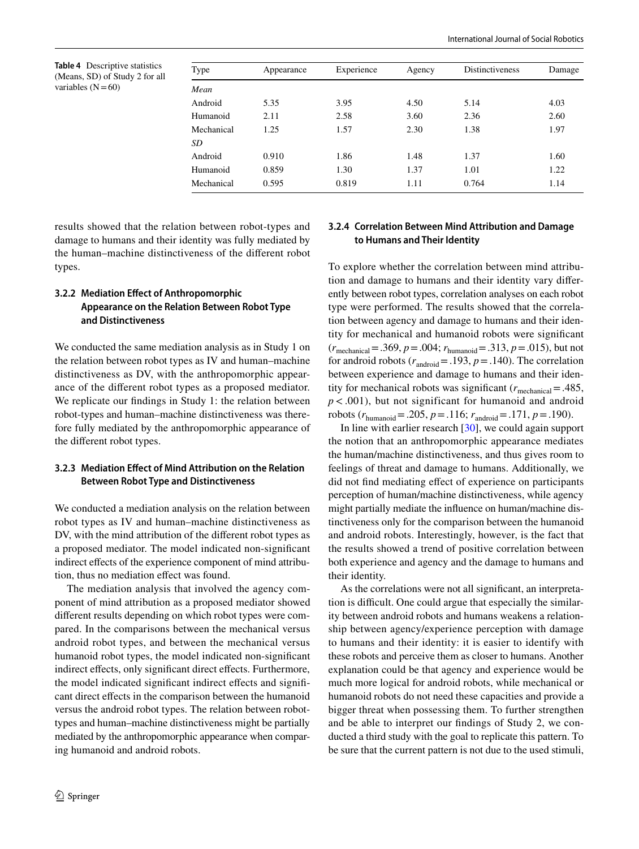<span id="page-5-0"></span>

| Type       | Appearance | Experience | Agency | Distinctiveness | Damage |
|------------|------------|------------|--------|-----------------|--------|
| Mean       |            |            |        |                 |        |
| Android    | 5.35       | 3.95       | 4.50   | 5.14            | 4.03   |
| Humanoid   | 2.11       | 2.58       | 3.60   | 2.36            | 2.60   |
| Mechanical | 1.25       | 1.57       | 2.30   | 1.38            | 1.97   |
| SD         |            |            |        |                 |        |
| Android    | 0.910      | 1.86       | 1.48   | 1.37            | 1.60   |
| Humanoid   | 0.859      | 1.30       | 1.37   | 1.01            | 1.22   |
| Mechanical | 0.595      | 0.819      | 1.11   | 0.764           | 1.14   |

results showed that the relation between robot-types and damage to humans and their identity was fully mediated by the human–machine distinctiveness of the diferent robot types.

### **3.2.2 Mediation Efect of Anthropomorphic Appearance on the Relation Between Robot Type and Distinctiveness**

We conducted the same mediation analysis as in Study 1 on the relation between robot types as IV and human–machine distinctiveness as DV, with the anthropomorphic appearance of the diferent robot types as a proposed mediator. We replicate our fndings in Study 1: the relation between robot-types and human–machine distinctiveness was therefore fully mediated by the anthropomorphic appearance of the diferent robot types.

### **3.2.3 Mediation Efect of Mind Attribution on the Relation Between Robot Type and Distinctiveness**

We conducted a mediation analysis on the relation between robot types as IV and human–machine distinctiveness as DV, with the mind attribution of the diferent robot types as a proposed mediator. The model indicated non-signifcant indirect effects of the experience component of mind attribution, thus no mediation efect was found.

The mediation analysis that involved the agency component of mind attribution as a proposed mediator showed diferent results depending on which robot types were compared. In the comparisons between the mechanical versus android robot types, and between the mechanical versus humanoid robot types, the model indicated non-signifcant indirect effects, only significant direct effects. Furthermore, the model indicated significant indirect effects and significant direct efects in the comparison between the humanoid versus the android robot types. The relation between robottypes and human–machine distinctiveness might be partially mediated by the anthropomorphic appearance when comparing humanoid and android robots.

#### **3.2.4 Correlation Between Mind Attribution and Damage to Humans and Their Identity**

To explore whether the correlation between mind attribution and damage to humans and their identity vary diferently between robot types, correlation analyses on each robot type were performed. The results showed that the correlation between agency and damage to humans and their identity for mechanical and humanoid robots were signifcant (*r*mechanical=.369, *p*=.004; *r*humanoid=.313, *p*=.015), but not for android robots  $(r_{\text{android}} = .193, p = .140)$ . The correlation between experience and damage to humans and their identity for mechanical robots was significant ( $r_{\text{mechanical}} = .485$ , *p* < .001), but not significant for humanoid and android robots  $(r_{\text{humanoid}} = .205, p = .116; r_{\text{android}} = .171, p = .190)$ .

In line with earlier research [\[30](#page-10-20)], we could again support the notion that an anthropomorphic appearance mediates the human/machine distinctiveness, and thus gives room to feelings of threat and damage to humans. Additionally, we did not fnd mediating efect of experience on participants perception of human/machine distinctiveness, while agency might partially mediate the infuence on human/machine distinctiveness only for the comparison between the humanoid and android robots. Interestingly, however, is the fact that the results showed a trend of positive correlation between both experience and agency and the damage to humans and their identity.

As the correlations were not all signifcant, an interpretation is difficult. One could argue that especially the similarity between android robots and humans weakens a relationship between agency/experience perception with damage to humans and their identity: it is easier to identify with these robots and perceive them as closer to humans. Another explanation could be that agency and experience would be much more logical for android robots, while mechanical or humanoid robots do not need these capacities and provide a bigger threat when possessing them. To further strengthen and be able to interpret our fndings of Study 2, we conducted a third study with the goal to replicate this pattern. To be sure that the current pattern is not due to the used stimuli,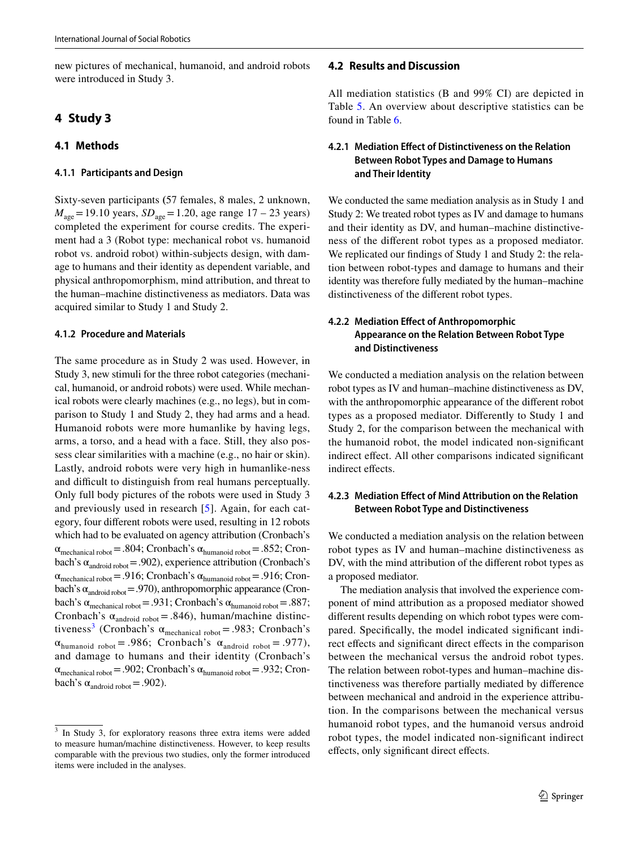new pictures of mechanical, humanoid, and android robots were introduced in Study 3.

# **4 Study 3**

# **4.1 Methods**

#### **4.1.1 Participants and Design**

Sixty-seven participants **(**57 females, 8 males, 2 unknown,  $M_{\text{age}} = 19.10 \text{ years}, SD_{\text{age}} = 1.20, \text{age range } 17 - 23 \text{ years}$ completed the experiment for course credits. The experiment had a 3 (Robot type: mechanical robot vs. humanoid robot vs. android robot) within-subjects design, with damage to humans and their identity as dependent variable, and physical anthropomorphism, mind attribution, and threat to the human–machine distinctiveness as mediators. Data was acquired similar to Study 1 and Study 2.

#### **4.1.2 Procedure and Materials**

The same procedure as in Study 2 was used. However, in Study 3, new stimuli for the three robot categories (mechanical, humanoid, or android robots) were used. While mechanical robots were clearly machines (e.g., no legs), but in comparison to Study 1 and Study 2, they had arms and a head. Humanoid robots were more humanlike by having legs, arms, a torso, and a head with a face. Still, they also possess clear similarities with a machine (e.g., no hair or skin). Lastly, android robots were very high in humanlike-ness and difficult to distinguish from real humans perceptually. Only full body pictures of the robots were used in Study 3 and previously used in research [[5](#page-9-5)]. Again, for each category, four diferent robots were used, resulting in 12 robots which had to be evaluated on agency attribution (Cronbach's  $\alpha_{\text{mechanical robot}}$ =.804; Cronbach's  $\alpha_{\text{humanoid robot}}$ =.852; Cronbach's  $\alpha_{\text{android robot}} = .902$ ), experience attribution (Cronbach's  $\alpha_{\text{mechanical robot}}$ =.916; Cronbach's  $\alpha_{\text{humanoid robot}}$ =.916; Cronbach's  $\alpha_{\text{android robot}} = .970$ ), anthropomorphic appearance (Cronbach's  $\alpha_{\text{mechanical robot}}$  = .931; Cronbach's  $\alpha_{\text{humanoid robot}}$  = .887; Cronbach's  $\alpha_{\text{android robot}} = .846$ ), human/machine distinc-tiveness<sup>[3](#page-6-0)</sup> (Cronbach's  $\alpha_{\text{mechanical robot}} = .983$ ; Cronbach's  $\alpha_{\text{humanoid robot}} = .986$ ; Cronbach's  $\alpha_{\text{android robot}} = .977$ ), and damage to humans and their identity (Cronbach's  $\alpha_{\text{mechanical robot}}$  = .902; Cronbach's  $\alpha_{\text{humanoid robot}}$  = .932; Cronbach's  $\alpha_{\text{android robot}} = .902$ ).

#### **4.2 Results and Discussion**

All mediation statistics (B and 99% CI) are depicted in Table [5.](#page-7-0) An overview about descriptive statistics can be found in Table [6](#page-7-1).

### **4.2.1 Mediation Efect of Distinctiveness on the Relation Between Robot Types and Damage to Humans and Their Identity**

We conducted the same mediation analysis as in Study 1 and Study 2: We treated robot types as IV and damage to humans and their identity as DV, and human–machine distinctiveness of the diferent robot types as a proposed mediator. We replicated our findings of Study 1 and Study 2: the relation between robot-types and damage to humans and their identity was therefore fully mediated by the human–machine distinctiveness of the diferent robot types.

## **4.2.2 Mediation Efect of Anthropomorphic Appearance on the Relation Between Robot Type and Distinctiveness**

We conducted a mediation analysis on the relation between robot types as IV and human–machine distinctiveness as DV, with the anthropomorphic appearance of the diferent robot types as a proposed mediator. Diferently to Study 1 and Study 2, for the comparison between the mechanical with the humanoid robot, the model indicated non-signifcant indirect efect. All other comparisons indicated signifcant indirect effects.

### **4.2.3 Mediation Efect of Mind Attribution on the Relation Between Robot Type and Distinctiveness**

We conducted a mediation analysis on the relation between robot types as IV and human–machine distinctiveness as DV, with the mind attribution of the diferent robot types as a proposed mediator.

The mediation analysis that involved the experience component of mind attribution as a proposed mediator showed diferent results depending on which robot types were compared. Specifcally, the model indicated signifcant indirect efects and signifcant direct efects in the comparison between the mechanical versus the android robot types. The relation between robot-types and human–machine distinctiveness was therefore partially mediated by diference between mechanical and android in the experience attribution. In the comparisons between the mechanical versus humanoid robot types, and the humanoid versus android robot types, the model indicated non-signifcant indirect efects, only signifcant direct efects.

<span id="page-6-0"></span><sup>&</sup>lt;sup>3</sup> In Study 3, for exploratory reasons three extra items were added to measure human/machine distinctiveness. However, to keep results comparable with the previous two studies, only the former introduced items were included in the analyses.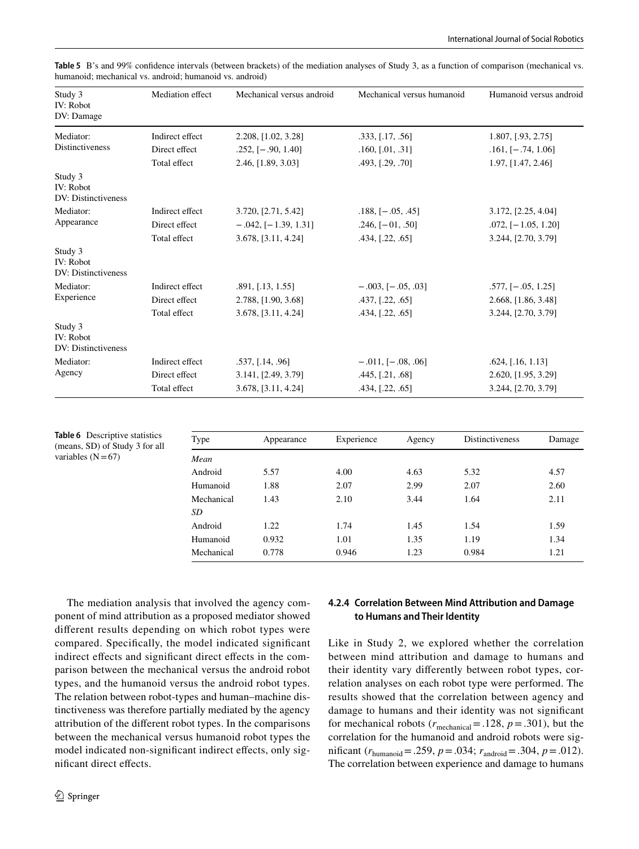| Study 3<br>IV: Robot<br>DV: Damage                 | Mediation effect | Mechanical versus android  | Mechanical versus humanoid | Humanoid versus android |
|----------------------------------------------------|------------------|----------------------------|----------------------------|-------------------------|
| Mediator:                                          | Indirect effect  | 2.208, [1.02, 3.28]        | .333, [.17, .56]           | 1.807, [.93, 2.75]      |
| <b>Distinctiveness</b>                             | Direct effect    | $.252, [-.90, 1.40]$       | .160, [.01, .31]           | $.161, [-.74, 1.06]$    |
|                                                    | Total effect     | 2.46, [1.89, 3.03]         | .493, [.29, .70]           | 1.97, [1.47, 2.46]      |
| Study 3<br><b>IV: Robot</b><br>DV: Distinctiveness |                  |                            |                            |                         |
| Mediator:                                          | Indirect effect  | 3.720, [2.71, 5.42]        | $.188,$ [ $-.05, .45$ ]    | 3.172, [2.25, 4.04]     |
| Appearance                                         | Direct effect    | $-.042,$ [ $-1.39, 1.31$ ] | $.246, [-01, .50]$         | $.072,$ [-1.05, 1.20]   |
|                                                    | Total effect     | 3.678, [3.11, 4.24]        | .434, [.22, .65]           | 3.244, [2.70, 3.79]     |
| Study 3<br>IV: Robot<br>DV: Distinctiveness        |                  |                            |                            |                         |
| Mediator:<br>Experience                            | Indirect effect  | .891, [.13, 1.55]          | $-.003, [-.05, .03]$       | $.577,$ $[-.05, 1.25]$  |
|                                                    | Direct effect    | 2.788, [1.90, 3.68]        | .437, [.22, .65]           | 2.668, [1.86, 3.48]     |
|                                                    | Total effect     | 3.678, [3.11, 4.24]        | .434, [.22, .65]           | 3.244, [2.70, 3.79]     |
| Study 3<br><b>IV: Robot</b><br>DV: Distinctiveness |                  |                            |                            |                         |
| Mediator:                                          | Indirect effect  | .537, [.14, .96]           | $-.011, [-.08, .06]$       | .624, [.16, 1.13]       |
| Agency                                             | Direct effect    | 3.141, [2.49, 3.79]        | .445, [.21, .68]           | 2.620, [1.95, 3.29]     |
|                                                    | Total effect     | 3.678, [3.11, 4.24]        | .434, [.22, .65]           | 3.244, [2.70, 3.79]     |

<span id="page-7-0"></span>**Table 5** B's and 99% confdence intervals (between brackets) of the mediation analyses of Study 3, as a function of comparison (mechanical vs. humanoid; mechanical vs. android; humanoid vs. android)

<span id="page-7-1"></span>

| <b>Table 6</b> Descriptive statistics<br>(means, SD) of Study 3 for all<br>variables $(N=67)$ | Type       | Appearance | Experience | Agency | <b>Distinctiveness</b> | Damage |
|-----------------------------------------------------------------------------------------------|------------|------------|------------|--------|------------------------|--------|
|                                                                                               | Mean       |            |            |        |                        |        |
|                                                                                               | Android    | 5.57       | 4.00       | 4.63   | 5.32                   | 4.57   |
|                                                                                               | Humanoid   | 1.88       | 2.07       | 2.99   | 2.07                   | 2.60   |
|                                                                                               | Mechanical | 1.43       | 2.10       | 3.44   | 1.64                   | 2.11   |
|                                                                                               | SD         |            |            |        |                        |        |
|                                                                                               | Android    | 1.22       | 1.74       | 1.45   | 1.54                   | 1.59   |
|                                                                                               | Humanoid   | 0.932      | 1.01       | 1.35   | 1.19                   | 1.34   |
|                                                                                               | Mechanical | 0.778      | 0.946      | 1.23   | 0.984                  | 1.21   |

The mediation analysis that involved the agency component of mind attribution as a proposed mediator showed diferent results depending on which robot types were compared. Specifcally, the model indicated signifcant indirect effects and significant direct effects in the comparison between the mechanical versus the android robot types, and the humanoid versus the android robot types. The relation between robot-types and human–machine distinctiveness was therefore partially mediated by the agency attribution of the diferent robot types. In the comparisons between the mechanical versus humanoid robot types the model indicated non-signifcant indirect efects, only signifcant direct efects.

### **4.2.4 Correlation Between Mind Attribution and Damage to Humans and Their Identity**

Like in Study 2, we explored whether the correlation between mind attribution and damage to humans and their identity vary diferently between robot types, correlation analyses on each robot type were performed. The results showed that the correlation between agency and damage to humans and their identity was not signifcant for mechanical robots ( $r_{\text{mechanical}}$ =.128,  $p$  =.301), but the correlation for the humanoid and android robots were significant ( $r_{\text{humanoid}} = .259$ ,  $p = .034$ ;  $r_{\text{android}} = .304$ ,  $p = .012$ ). The correlation between experience and damage to humans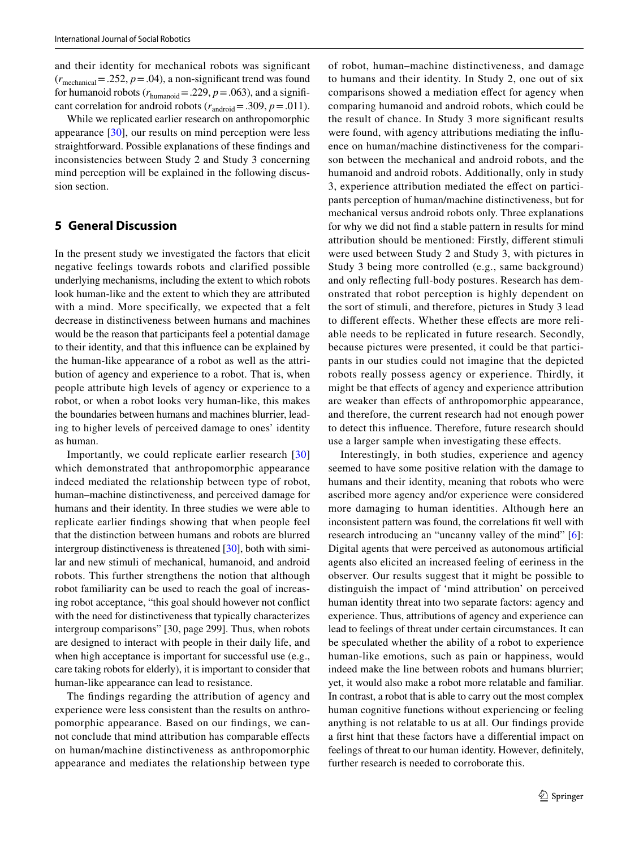and their identity for mechanical robots was signifcant  $(r_{\text{mechanical}} = .252, p = .04)$ , a non-significant trend was found for humanoid robots ( $r_{\text{humanoid}}$  = .229,  $p$  = .063), and a significant correlation for android robots  $(r_{\text{android}} = .309, p = .011)$ .

While we replicated earlier research on anthropomorphic appearance [\[30](#page-10-20)], our results on mind perception were less straightforward. Possible explanations of these fndings and inconsistencies between Study 2 and Study 3 concerning mind perception will be explained in the following discussion section.

### **5 General Discussion**

In the present study we investigated the factors that elicit negative feelings towards robots and clarified possible underlying mechanisms, including the extent to which robots look human-like and the extent to which they are attributed with a mind. More specifically, we expected that a felt decrease in distinctiveness between humans and machines would be the reason that participants feel a potential damage to their identity, and that this infuence can be explained by the human-like appearance of a robot as well as the attribution of agency and experience to a robot. That is, when people attribute high levels of agency or experience to a robot, or when a robot looks very human-like, this makes the boundaries between humans and machines blurrier, leading to higher levels of perceived damage to ones' identity as human.

Importantly, we could replicate earlier research [[30\]](#page-10-20) which demonstrated that anthropomorphic appearance indeed mediated the relationship between type of robot, human–machine distinctiveness, and perceived damage for humans and their identity. In three studies we were able to replicate earlier fndings showing that when people feel that the distinction between humans and robots are blurred intergroup distinctiveness is threatened [[30\]](#page-10-20), both with similar and new stimuli of mechanical, humanoid, and android robots. This further strengthens the notion that although robot familiarity can be used to reach the goal of increasing robot acceptance, "this goal should however not confict with the need for distinctiveness that typically characterizes intergroup comparisons" [30, page 299]. Thus, when robots are designed to interact with people in their daily life, and when high acceptance is important for successful use (e.g., care taking robots for elderly), it is important to consider that human-like appearance can lead to resistance.

The fndings regarding the attribution of agency and experience were less consistent than the results on anthropomorphic appearance. Based on our fndings, we cannot conclude that mind attribution has comparable efects on human/machine distinctiveness as anthropomorphic appearance and mediates the relationship between type of robot, human–machine distinctiveness, and damage to humans and their identity. In Study 2, one out of six comparisons showed a mediation efect for agency when comparing humanoid and android robots, which could be the result of chance. In Study 3 more signifcant results were found, with agency attributions mediating the infuence on human/machine distinctiveness for the comparison between the mechanical and android robots, and the humanoid and android robots. Additionally, only in study 3, experience attribution mediated the efect on participants perception of human/machine distinctiveness, but for mechanical versus android robots only. Three explanations for why we did not fnd a stable pattern in results for mind attribution should be mentioned: Firstly, diferent stimuli were used between Study 2 and Study 3, with pictures in Study 3 being more controlled (e.g., same background) and only refecting full-body postures. Research has demonstrated that robot perception is highly dependent on the sort of stimuli, and therefore, pictures in Study 3 lead to diferent efects. Whether these efects are more reliable needs to be replicated in future research. Secondly, because pictures were presented, it could be that participants in our studies could not imagine that the depicted robots really possess agency or experience. Thirdly, it might be that efects of agency and experience attribution are weaker than efects of anthropomorphic appearance, and therefore, the current research had not enough power to detect this infuence. Therefore, future research should use a larger sample when investigating these efects.

Interestingly, in both studies, experience and agency seemed to have some positive relation with the damage to humans and their identity, meaning that robots who were ascribed more agency and/or experience were considered more damaging to human identities. Although here an inconsistent pattern was found, the correlations ft well with research introducing an "uncanny valley of the mind" [[6](#page-9-6)]: Digital agents that were perceived as autonomous artifcial agents also elicited an increased feeling of eeriness in the observer. Our results suggest that it might be possible to distinguish the impact of 'mind attribution' on perceived human identity threat into two separate factors: agency and experience. Thus, attributions of agency and experience can lead to feelings of threat under certain circumstances. It can be speculated whether the ability of a robot to experience human-like emotions, such as pain or happiness, would indeed make the line between robots and humans blurrier; yet, it would also make a robot more relatable and familiar. In contrast, a robot that is able to carry out the most complex human cognitive functions without experiencing or feeling anything is not relatable to us at all. Our fndings provide a frst hint that these factors have a diferential impact on feelings of threat to our human identity. However, defnitely, further research is needed to corroborate this.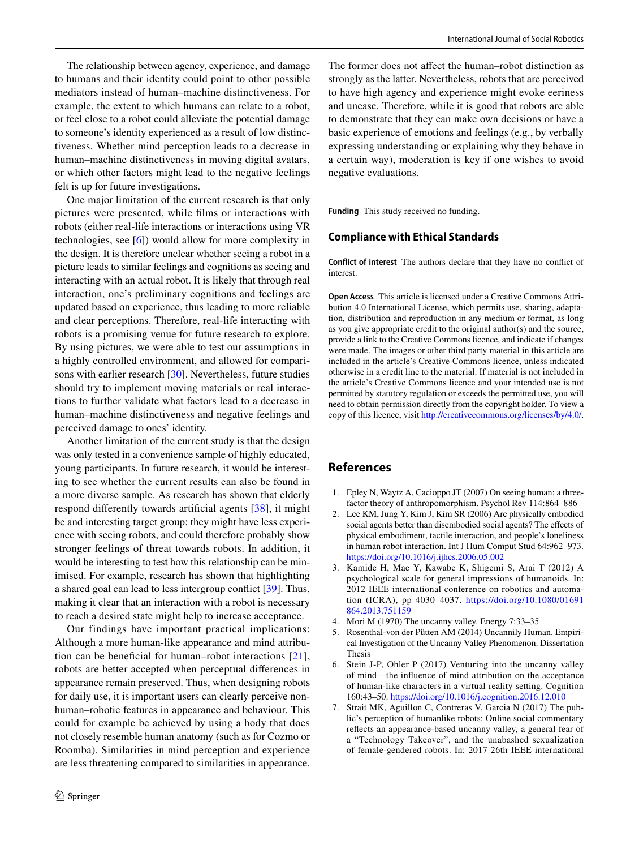The relationship between agency, experience, and damage to humans and their identity could point to other possible mediators instead of human–machine distinctiveness. For example, the extent to which humans can relate to a robot, or feel close to a robot could alleviate the potential damage to someone's identity experienced as a result of low distinctiveness. Whether mind perception leads to a decrease in human–machine distinctiveness in moving digital avatars, or which other factors might lead to the negative feelings felt is up for future investigations.

One major limitation of the current research is that only pictures were presented, while flms or interactions with robots (either real-life interactions or interactions using VR technologies, see [[6](#page-9-6)]) would allow for more complexity in the design. It is therefore unclear whether seeing a robot in a picture leads to similar feelings and cognitions as seeing and interacting with an actual robot. It is likely that through real interaction, one's preliminary cognitions and feelings are updated based on experience, thus leading to more reliable and clear perceptions. Therefore, real-life interacting with robots is a promising venue for future research to explore. By using pictures, we were able to test our assumptions in a highly controlled environment, and allowed for comparisons with earlier research [\[30](#page-10-20)]. Nevertheless, future studies should try to implement moving materials or real interactions to further validate what factors lead to a decrease in human–machine distinctiveness and negative feelings and perceived damage to ones' identity.

Another limitation of the current study is that the design was only tested in a convenience sample of highly educated, young participants. In future research, it would be interesting to see whether the current results can also be found in a more diverse sample. As research has shown that elderly respond diferently towards artifcial agents [\[38\]](#page-10-28), it might be and interesting target group: they might have less experience with seeing robots, and could therefore probably show stronger feelings of threat towards robots. In addition, it would be interesting to test how this relationship can be minimised. For example, research has shown that highlighting a shared goal can lead to less intergroup confict [\[39](#page-10-29)]. Thus, making it clear that an interaction with a robot is necessary to reach a desired state might help to increase acceptance.

Our findings have important practical implications: Although a more human-like appearance and mind attribu-tion can be beneficial for human–robot interactions [[21](#page-10-11)], robots are better accepted when perceptual diferences in appearance remain preserved. Thus, when designing robots for daily use, it is important users can clearly perceive nonhuman–robotic features in appearance and behaviour. This could for example be achieved by using a body that does not closely resemble human anatomy (such as for Cozmo or Roomba). Similarities in mind perception and experience are less threatening compared to similarities in appearance.

The former does not affect the human–robot distinction as strongly as the latter. Nevertheless, robots that are perceived to have high agency and experience might evoke eeriness and unease. Therefore, while it is good that robots are able to demonstrate that they can make own decisions or have a basic experience of emotions and feelings (e.g., by verbally expressing understanding or explaining why they behave in a certain way), moderation is key if one wishes to avoid negative evaluations.

**Funding** This study received no funding.

#### **Compliance with Ethical Standards**

**Conflict of interest** The authors declare that they have no confict of interest.

**Open Access** This article is licensed under a Creative Commons Attribution 4.0 International License, which permits use, sharing, adaptation, distribution and reproduction in any medium or format, as long as you give appropriate credit to the original author(s) and the source, provide a link to the Creative Commons licence, and indicate if changes were made. The images or other third party material in this article are included in the article's Creative Commons licence, unless indicated otherwise in a credit line to the material. If material is not included in the article's Creative Commons licence and your intended use is not permitted by statutory regulation or exceeds the permitted use, you will need to obtain permission directly from the copyright holder. To view a copy of this licence, visit<http://creativecommons.org/licenses/by/4.0/>.

### **References**

- <span id="page-9-0"></span>1. Epley N, Waytz A, Cacioppo JT (2007) On seeing human: a threefactor theory of anthropomorphism. Psychol Rev 114:864–886
- <span id="page-9-1"></span>2. Lee KM, Jung Y, Kim J, Kim SR (2006) Are physically embodied social agents better than disembodied social agents? The effects of physical embodiment, tactile interaction, and people's loneliness in human robot interaction. Int J Hum Comput Stud 64:962–973. <https://doi.org/10.1016/j.ijhcs.2006.05.002>
- <span id="page-9-2"></span>3. Kamide H, Mae Y, Kawabe K, Shigemi S, Arai T (2012) A psychological scale for general impressions of humanoids. In: 2012 IEEE international conference on robotics and automation (ICRA), pp 4030–4037. [https://doi.org/10.1080/01691](https://doi.org/10.1080/01691864.2013.751159) [864.2013.751159](https://doi.org/10.1080/01691864.2013.751159)
- <span id="page-9-4"></span>4. Mori M (1970) The uncanny valley. Energy 7:33–35
- <span id="page-9-5"></span>5. Rosenthal-von der Pütten AM (2014) Uncannily Human. Empirical Investigation of the Uncanny Valley Phenomenon. Dissertation Thesis
- <span id="page-9-6"></span>6. Stein J-P, Ohler P (2017) Venturing into the uncanny valley of mind—the infuence of mind attribution on the acceptance of human-like characters in a virtual reality setting. Cognition 160:43–50.<https://doi.org/10.1016/j.cognition.2016.12.010>
- <span id="page-9-3"></span>7. Strait MK, Aguillon C, Contreras V, Garcia N (2017) The public's perception of humanlike robots: Online social commentary refects an appearance-based uncanny valley, a general fear of a "Technology Takeover", and the unabashed sexualization of female-gendered robots. In: 2017 26th IEEE international